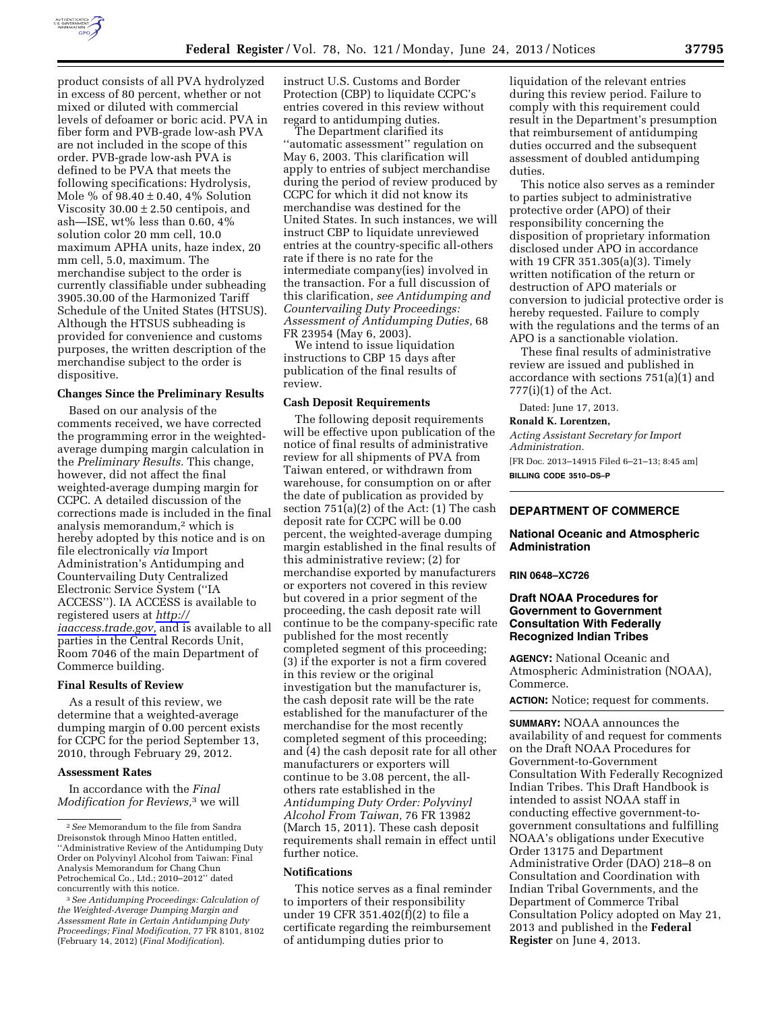

product consists of all PVA hydrolyzed in excess of 80 percent, whether or not mixed or diluted with commercial levels of defoamer or boric acid. PVA in fiber form and PVB-grade low-ash PVA are not included in the scope of this order. PVB-grade low-ash PVA is defined to be PVA that meets the following specifications: Hydrolysis, Mole % of  $98.40 \pm 0.40$ , 4% Solution Viscosity  $30.00 \pm 2.50$  centipois, and ash—ISE, wt% less than  $0.60, 4\%$ solution color 20 mm cell, 10.0 maximum APHA units, haze index, 20 mm cell, 5.0, maximum. The merchandise subject to the order is currently classifiable under subheading 3905.30.00 of the Harmonized Tariff Schedule of the United States (HTSUS). Although the HTSUS subheading is provided for convenience and customs purposes, the written description of the merchandise subject to the order is dispositive.

## **Changes Since the Preliminary Results**

Based on our analysis of the comments received, we have corrected the programming error in the weightedaverage dumping margin calculation in the *Preliminary Results.* This change, however, did not affect the final weighted-average dumping margin for CCPC. A detailed discussion of the corrections made is included in the final analysis memorandum,2 which is hereby adopted by this notice and is on file electronically *via* Import Administration's Antidumping and Countervailing Duty Centralized Electronic Service System (''IA ACCESS''). IA ACCESS is available to registered users at *[http://](http://iaaccess.trade.gov) [iaaccess.trade.gov,](http://iaaccess.trade.gov)* and is available to all parties in the Central Records Unit, Room 7046 of the main Department of Commerce building.

#### **Final Results of Review**

As a result of this review, we determine that a weighted-average dumping margin of 0.00 percent exists for CCPC for the period September 13, 2010, through February 29, 2012.

### **Assessment Rates**

In accordance with the *Final Modification for Reviews,*3 we will

instruct U.S. Customs and Border Protection (CBP) to liquidate CCPC's entries covered in this review without regard to antidumping duties.

The Department clarified its ''automatic assessment'' regulation on May 6, 2003. This clarification will apply to entries of subject merchandise during the period of review produced by CCPC for which it did not know its merchandise was destined for the United States. In such instances, we will instruct CBP to liquidate unreviewed entries at the country-specific all-others rate if there is no rate for the intermediate company(ies) involved in the transaction. For a full discussion of this clarification, *see Antidumping and Countervailing Duty Proceedings: Assessment of Antidumping Duties,* 68 FR 23954 (May 6, 2003).

We intend to issue liquidation instructions to CBP 15 days after publication of the final results of review.

### **Cash Deposit Requirements**

The following deposit requirements will be effective upon publication of the notice of final results of administrative review for all shipments of PVA from Taiwan entered, or withdrawn from warehouse, for consumption on or after the date of publication as provided by section 751(a)(2) of the Act: (1) The cash deposit rate for CCPC will be 0.00 percent, the weighted-average dumping margin established in the final results of this administrative review; (2) for merchandise exported by manufacturers or exporters not covered in this review but covered in a prior segment of the proceeding, the cash deposit rate will continue to be the company-specific rate published for the most recently completed segment of this proceeding; (3) if the exporter is not a firm covered in this review or the original investigation but the manufacturer is, the cash deposit rate will be the rate established for the manufacturer of the merchandise for the most recently completed segment of this proceeding; and (4) the cash deposit rate for all other manufacturers or exporters will continue to be 3.08 percent, the allothers rate established in the *Antidumping Duty Order: Polyvinyl Alcohol From Taiwan,* 76 FR 13982 (March 15, 2011). These cash deposit requirements shall remain in effect until further notice.

### **Notifications**

This notice serves as a final reminder to importers of their responsibility under 19 CFR 351.402(f)(2) to file a certificate regarding the reimbursement of antidumping duties prior to

liquidation of the relevant entries during this review period. Failure to comply with this requirement could result in the Department's presumption that reimbursement of antidumping duties occurred and the subsequent assessment of doubled antidumping duties.

This notice also serves as a reminder to parties subject to administrative protective order (APO) of their responsibility concerning the disposition of proprietary information disclosed under APO in accordance with 19 CFR 351.305(a)(3). Timely written notification of the return or destruction of APO materials or conversion to judicial protective order is hereby requested. Failure to comply with the regulations and the terms of an APO is a sanctionable violation.

These final results of administrative review are issued and published in accordance with sections 751(a)(1) and 777(i)(1) of the Act.

Dated: June 17, 2013.

#### **Ronald K. Lorentzen,**

*Acting Assistant Secretary for Import Administration.*  [FR Doc. 2013–14915 Filed 6–21–13; 8:45 am] **BILLING CODE 3510–DS–P** 

## **DEPARTMENT OF COMMERCE**

## **National Oceanic and Atmospheric Administration**

#### **RIN 0648–XC726**

# **Draft NOAA Procedures for Government to Government Consultation With Federally Recognized Indian Tribes**

**AGENCY:** National Oceanic and Atmospheric Administration (NOAA), Commerce.

**ACTION:** Notice; request for comments.

**SUMMARY:** NOAA announces the availability of and request for comments on the Draft NOAA Procedures for Government-to-Government Consultation With Federally Recognized Indian Tribes. This Draft Handbook is intended to assist NOAA staff in conducting effective government-togovernment consultations and fulfilling NOAA's obligations under Executive Order 13175 and Department Administrative Order (DAO) 218–8 on Consultation and Coordination with Indian Tribal Governments, and the Department of Commerce Tribal Consultation Policy adopted on May 21, 2013 and published in the **Federal Register** on June 4, 2013.

<sup>2</sup>*See* Memorandum to the file from Sandra Dreisonstok through Minoo Hatten entitled, ''Administrative Review of the Antidumping Duty Order on Polyvinyl Alcohol from Taiwan: Final Analysis Memorandum for Chang Chun Petrochemical Co., Ltd.; 2010–2012'' dated concurrently with this notice.

<sup>3</sup>*See Antidumping Proceedings: Calculation of the Weighted-Average Dumping Margin and Assessment Rate in Certain Antidumping Duty Proceedings; Final Modification,* 77 FR 8101, 8102 (February 14, 2012) (*Final Modification*).